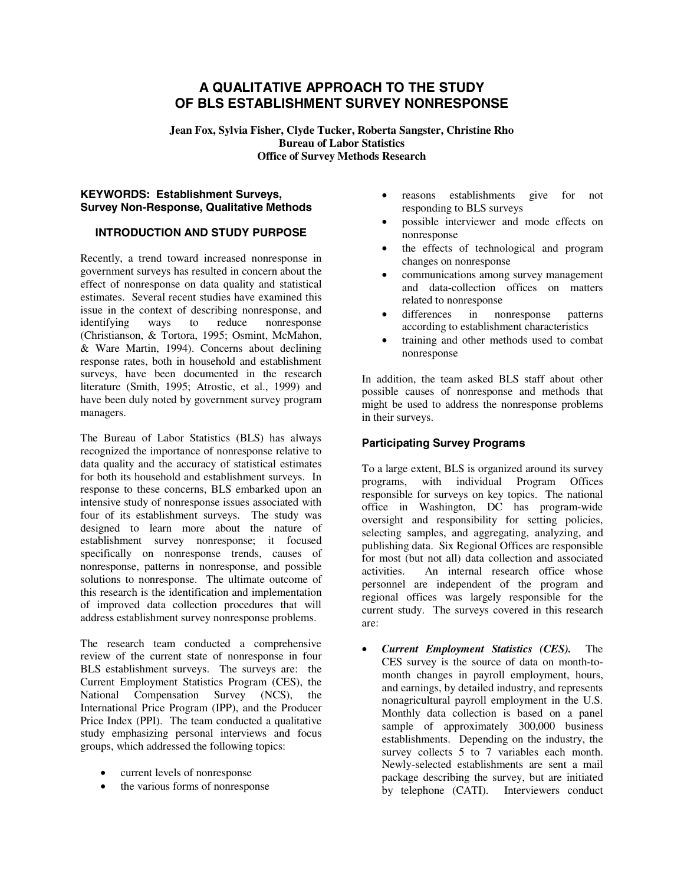# **A QUALITATIVE APPROACH TO THE STUDY OF BLS ESTABLISHMENT SURVEY NONRESPONSE**

**Jean Fox, Sylvia Fisher, Clyde Tucker, Roberta Sangster, Christine Rho Bureau of Labor Statistics Office of Survey Methods Research** 

## **KEYWORDS: Establishment Surveys, Survey Non-Response, Qualitative Methods**

# **INTRODUCTION AND STUDY PURPOSE**

Recently, a trend toward increased nonresponse in government surveys has resulted in concern about the effect of nonresponse on data quality and statistical estimates. Several recent studies have examined this issue in the context of describing nonresponse, and identifying ways to reduce nonresponse (Christianson, & Tortora, 1995; Osmint, McMahon, & Ware Martin, 1994). Concerns about declining response rates, both in household and establishment surveys, have been documented in the research literature (Smith, 1995; Atrostic, et al., 1999) and have been duly noted by government survey program managers.

The Bureau of Labor Statistics (BLS) has always recognized the importance of nonresponse relative to data quality and the accuracy of statistical estimates for both its household and establishment surveys. In response to these concerns, BLS embarked upon an intensive study of nonresponse issues associated with four of its establishment surveys. The study was designed to learn more about the nature of establishment survey nonresponse; it focused specifically on nonresponse trends, causes of nonresponse, patterns in nonresponse, and possible solutions to nonresponse. The ultimate outcome of this research is the identification and implementation of improved data collection procedures that will address establishment survey nonresponse problems.

The research team conducted a comprehensive review of the current state of nonresponse in four BLS establishment surveys. The surveys are: the Current Employment Statistics Program (CES), the National Compensation Survey (NCS), the International Price Program (IPP), and the Producer Price Index (PPI). The team conducted a qualitative study emphasizing personal interviews and focus groups, which addressed the following topics:

- current levels of nonresponse
- the various forms of nonresponse
- reasons establishments give for not responding to BLS surveys
- possible interviewer and mode effects on nonresponse
- the effects of technological and program changes on nonresponse
- communications among survey management and data-collection offices on matters related to nonresponse
- differences in nonresponse patterns according to establishment characteristics
- training and other methods used to combat nonresponse

In addition, the team asked BLS staff about other possible causes of nonresponse and methods that might be used to address the nonresponse problems in their surveys.

# **Participating Survey Programs**

To a large extent, BLS is organized around its survey programs, with individual Program Offices responsible for surveys on key topics. The national office in Washington, DC has program-wide oversight and responsibility for setting policies, selecting samples, and aggregating, analyzing, and publishing data. Six Regional Offices are responsible for most (but not all) data collection and associated activities. An internal research office whose personnel are independent of the program and regional offices was largely responsible for the current study. The surveys covered in this research are:

• *Current Employment Statistics (CES).* The CES survey is the source of data on month-tomonth changes in payroll employment, hours, and earnings, by detailed industry, and represents nonagricultural payroll employment in the U.S. Monthly data collection is based on a panel sample of approximately 300,000 business establishments. Depending on the industry, the survey collects 5 to 7 variables each month. Newly-selected establishments are sent a mail package describing the survey, but are initiated by telephone (CATI). Interviewers conduct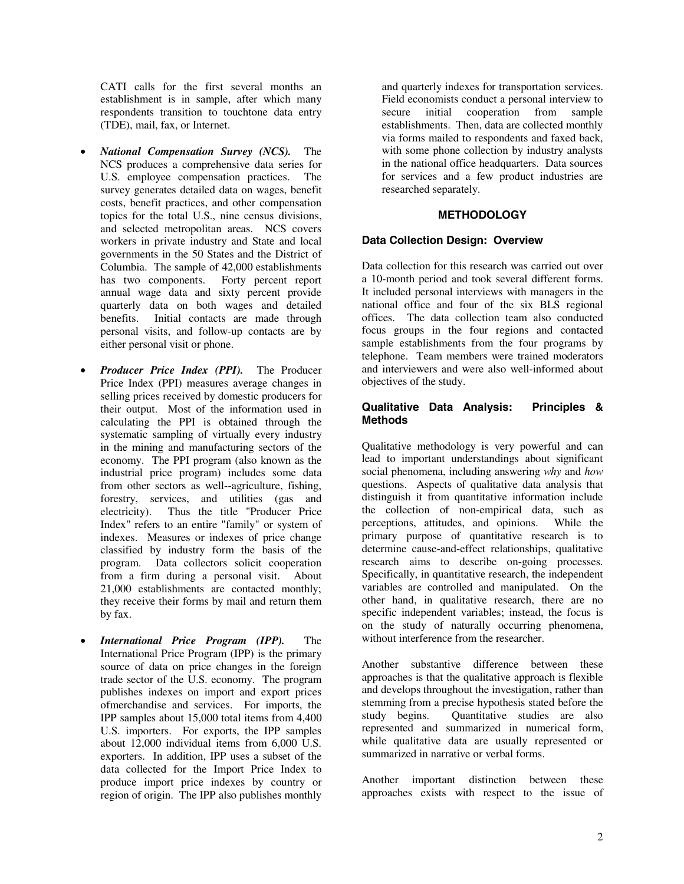CATI calls for the first several months an establishment is in sample, after which many respondents transition to touchtone data entry (TDE), mail, fax, or Internet.

- *National Compensation Survey (NCS).* The NCS produces a comprehensive data series for U.S. employee compensation practices. The survey generates detailed data on wages, benefit costs, benefit practices, and other compensation topics for the total U.S., nine census divisions, and selected metropolitan areas. NCS covers workers in private industry and State and local governments in the 50 States and the District of Columbia. The sample of 42,000 establishments has two components. Forty percent report annual wage data and sixty percent provide quarterly data on both wages and detailed benefits. Initial contacts are made through personal visits, and follow-up contacts are by either personal visit or phone.
- *Producer Price Index (PPI).* The Producer Price Index (PPI) measures average changes in selling prices received by domestic producers for their output. Most of the information used in calculating the PPI is obtained through the systematic sampling of virtually every industry in the mining and manufacturing sectors of the economy. The PPI program (also known as the industrial price program) includes some data from other sectors as well--agriculture, fishing, forestry, services, and utilities (gas and electricity). Thus the title "Producer Price Index" refers to an entire "family" or system of indexes. Measures or indexes of price change classified by industry form the basis of the program. Data collectors solicit cooperation from a firm during a personal visit. About 21,000 establishments are contacted monthly; they receive their forms by mail and return them by fax.
- *International Price Program (IPP).* The International Price Program (IPP) is the primary source of data on price changes in the foreign trade sector of the U.S. economy. The program publishes indexes on import and export prices ofmerchandise and services. For imports, the IPP samples about 15,000 total items from 4,400 U.S. importers. For exports, the IPP samples about 12,000 individual items from 6,000 U.S. exporters. In addition, IPP uses a subset of the data collected for the Import Price Index to produce import price indexes by country or region of origin. The IPP also publishes monthly

and quarterly indexes for transportation services. Field economists conduct a personal interview to secure initial cooperation from sample establishments. Then, data are collected monthly via forms mailed to respondents and faxed back, with some phone collection by industry analysts in the national office headquarters. Data sources for services and a few product industries are researched separately.

# **METHODOLOGY**

# **Data Collection Design: Overview**

Data collection for this research was carried out over a 10-month period and took several different forms. It included personal interviews with managers in the national office and four of the six BLS regional offices. The data collection team also conducted focus groups in the four regions and contacted sample establishments from the four programs by telephone. Team members were trained moderators and interviewers and were also well-informed about objectives of the study.

## **Qualitative Data Analysis: Principles & Methods**

Qualitative methodology is very powerful and can lead to important understandings about significant social phenomena, including answering *why* and *how*  questions. Aspects of qualitative data analysis that distinguish it from quantitative information include the collection of non-empirical data, such as perceptions, attitudes, and opinions. While the primary purpose of quantitative research is to determine cause-and-effect relationships, qualitative research aims to describe on-going processes. Specifically, in quantitative research, the independent variables are controlled and manipulated. On the other hand, in qualitative research, there are no specific independent variables; instead, the focus is on the study of naturally occurring phenomena, without interference from the researcher.

Another substantive difference between these approaches is that the qualitative approach is flexible and develops throughout the investigation, rather than stemming from a precise hypothesis stated before the study begins. Quantitative studies are also represented and summarized in numerical form, while qualitative data are usually represented or summarized in narrative or verbal forms.

Another important distinction between these approaches exists with respect to the issue of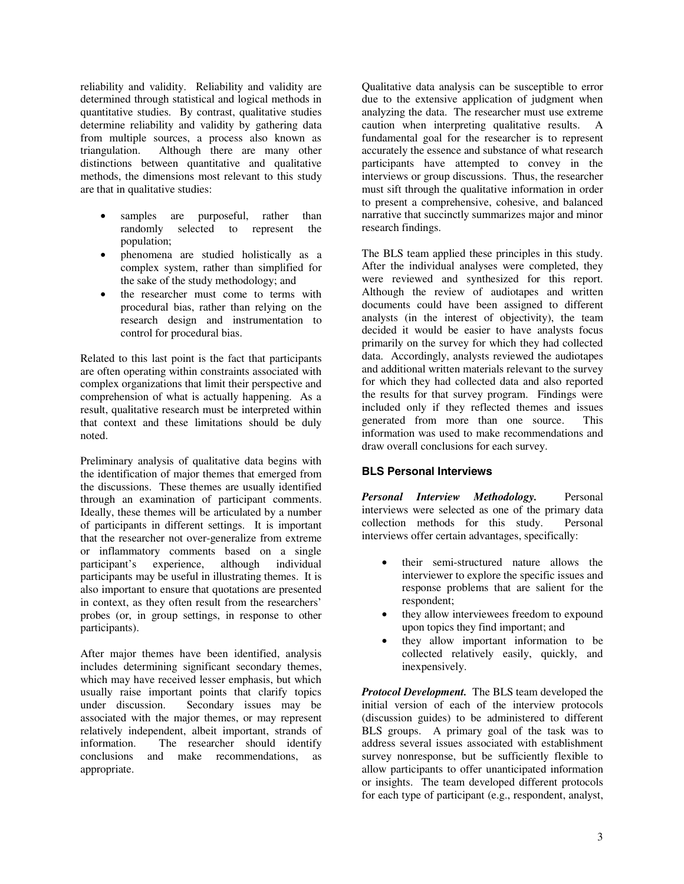reliability and validity. Reliability and validity are determined through statistical and logical methods in quantitative studies. By contrast, qualitative studies determine reliability and validity by gathering data from multiple sources, a process also known as triangulation. Although there are many other distinctions between quantitative and qualitative methods, the dimensions most relevant to this study are that in qualitative studies:

- samples are purposeful, rather than randomly selected to represent the population;
- phenomena are studied holistically as a complex system, rather than simplified for the sake of the study methodology; and
- the researcher must come to terms with procedural bias, rather than relying on the research design and instrumentation to control for procedural bias.

Related to this last point is the fact that participants are often operating within constraints associated with complex organizations that limit their perspective and comprehension of what is actually happening. As a result, qualitative research must be interpreted within that context and these limitations should be duly noted.

Preliminary analysis of qualitative data begins with the identification of major themes that emerged from the discussions. These themes are usually identified through an examination of participant comments. Ideally, these themes will be articulated by a number of participants in different settings. It is important that the researcher not over-generalize from extreme or inflammatory comments based on a single participant's experience, although individual participants may be useful in illustrating themes. It is also important to ensure that quotations are presented in context, as they often result from the researchers' probes (or, in group settings, in response to other participants).

After major themes have been identified, analysis includes determining significant secondary themes, which may have received lesser emphasis, but which usually raise important points that clarify topics under discussion. Secondary issues may be associated with the major themes, or may represent relatively independent, albeit important, strands of information. The researcher should identify conclusions and make recommendations, as appropriate.

Qualitative data analysis can be susceptible to error due to the extensive application of judgment when analyzing the data. The researcher must use extreme caution when interpreting qualitative results. A fundamental goal for the researcher is to represent accurately the essence and substance of what research participants have attempted to convey in the interviews or group discussions. Thus, the researcher must sift through the qualitative information in order to present a comprehensive, cohesive, and balanced narrative that succinctly summarizes major and minor research findings.

The BLS team applied these principles in this study. After the individual analyses were completed, they were reviewed and synthesized for this report. Although the review of audiotapes and written documents could have been assigned to different analysts (in the interest of objectivity), the team decided it would be easier to have analysts focus primarily on the survey for which they had collected data. Accordingly, analysts reviewed the audiotapes and additional written materials relevant to the survey for which they had collected data and also reported the results for that survey program. Findings were included only if they reflected themes and issues generated from more than one source. This information was used to make recommendations and draw overall conclusions for each survey.

### **BLS Personal Interviews**

*Personal Interview Methodology.* Personal interviews were selected as one of the primary data<br>collection methods for this study. Personal collection methods for this study. interviews offer certain advantages, specifically:

- their semi-structured nature allows the interviewer to explore the specific issues and response problems that are salient for the respondent;
- they allow interviewees freedom to expound upon topics they find important; and
- they allow important information to be collected relatively easily, quickly, and inexpensively.

*Protocol Development.* The BLS team developed the initial version of each of the interview protocols (discussion guides) to be administered to different BLS groups. A primary goal of the task was to address several issues associated with establishment survey nonresponse, but be sufficiently flexible to allow participants to offer unanticipated information or insights. The team developed different protocols for each type of participant (e.g., respondent, analyst,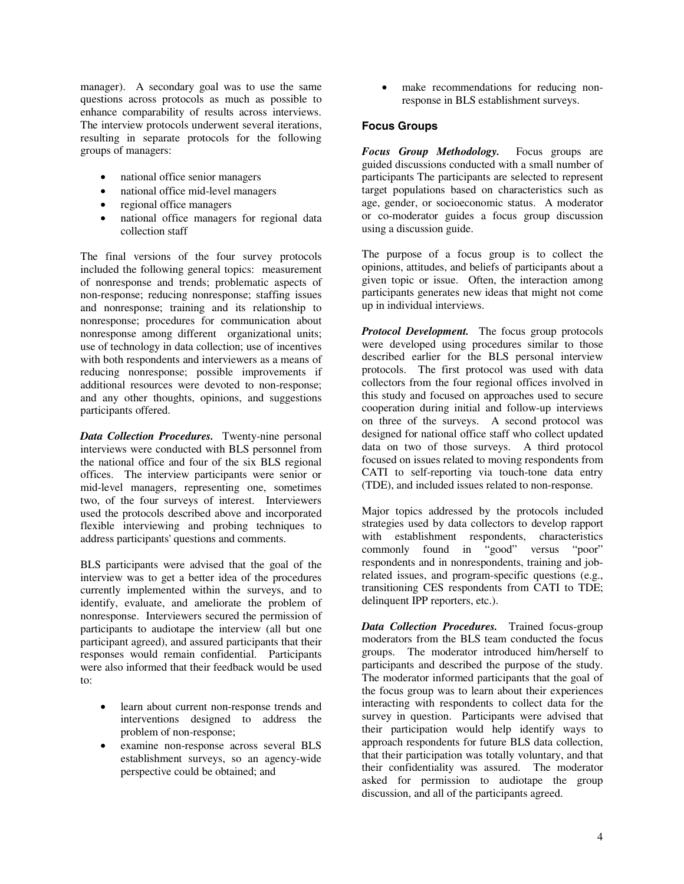manager). A secondary goal was to use the same questions across protocols as much as possible to enhance comparability of results across interviews. The interview protocols underwent several iterations, resulting in separate protocols for the following groups of managers:

- national office senior managers
- national office mid-level managers
- regional office managers
- national office managers for regional data collection staff

The final versions of the four survey protocols included the following general topics: measurement of nonresponse and trends; problematic aspects of non-response; reducing nonresponse; staffing issues and nonresponse; training and its relationship to nonresponse; procedures for communication about nonresponse among different organizational units; use of technology in data collection; use of incentives with both respondents and interviewers as a means of reducing nonresponse; possible improvements if additional resources were devoted to non-response; and any other thoughts, opinions, and suggestions participants offered.

*Data Collection Procedures.* Twenty-nine personal interviews were conducted with BLS personnel from the national office and four of the six BLS regional offices. The interview participants were senior or mid-level managers, representing one, sometimes two, of the four surveys of interest. Interviewers used the protocols described above and incorporated flexible interviewing and probing techniques to address participants' questions and comments.

BLS participants were advised that the goal of the interview was to get a better idea of the procedures currently implemented within the surveys, and to identify, evaluate, and ameliorate the problem of nonresponse. Interviewers secured the permission of participants to audiotape the interview (all but one participant agreed), and assured participants that their responses would remain confidential. Participants were also informed that their feedback would be used to:

- learn about current non-response trends and interventions designed to address the problem of non-response;
- examine non-response across several BLS establishment surveys, so an agency-wide perspective could be obtained; and

• make recommendations for reducing nonresponse in BLS establishment surveys.

#### **Focus Groups**

*Focus Group Methodology.* Focus groups are guided discussions conducted with a small number of participants The participants are selected to represent target populations based on characteristics such as age, gender, or socioeconomic status. A moderator or co-moderator guides a focus group discussion using a discussion guide.

The purpose of a focus group is to collect the opinions, attitudes, and beliefs of participants about a given topic or issue. Often, the interaction among participants generates new ideas that might not come up in individual interviews.

*Protocol Development.* The focus group protocols were developed using procedures similar to those described earlier for the BLS personal interview protocols. The first protocol was used with data collectors from the four regional offices involved in this study and focused on approaches used to secure cooperation during initial and follow-up interviews on three of the surveys. A second protocol was designed for national office staff who collect updated data on two of those surveys. A third protocol focused on issues related to moving respondents from CATI to self-reporting via touch-tone data entry (TDE), and included issues related to non-response.

Major topics addressed by the protocols included strategies used by data collectors to develop rapport with establishment respondents, characteristics commonly found in "good" versus "poor" respondents and in nonrespondents, training and jobrelated issues, and program-specific questions (e.g., transitioning CES respondents from CATI to TDE; delinquent IPP reporters, etc.).

*Data Collection Procedures.* Trained focus-group moderators from the BLS team conducted the focus groups. The moderator introduced him/herself to participants and described the purpose of the study. The moderator informed participants that the goal of the focus group was to learn about their experiences interacting with respondents to collect data for the survey in question. Participants were advised that their participation would help identify ways to approach respondents for future BLS data collection, that their participation was totally voluntary, and that their confidentiality was assured. The moderator asked for permission to audiotape the group discussion, and all of the participants agreed.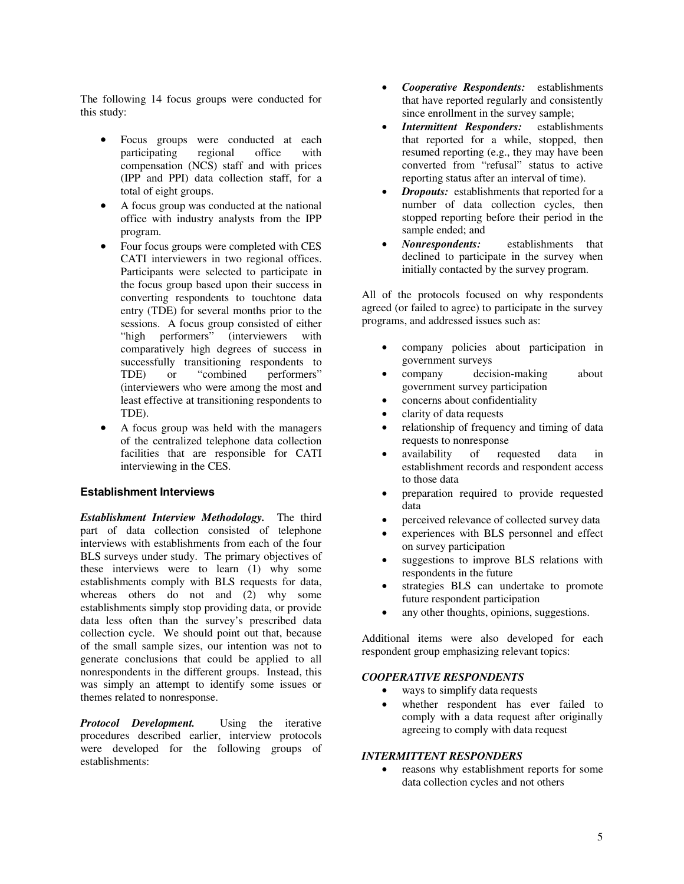The following 14 focus groups were conducted for this study:

- Focus groups were conducted at each participating regional office with compensation (NCS) staff and with prices (IPP and PPI) data collection staff, for a total of eight groups.
- A focus group was conducted at the national office with industry analysts from the IPP program.
- Four focus groups were completed with CES CATI interviewers in two regional offices. Participants were selected to participate in the focus group based upon their success in converting respondents to touchtone data entry (TDE) for several months prior to the sessions. A focus group consisted of either "high performers" (interviewers with comparatively high degrees of success in successfully transitioning respondents to TDE) or "combined performers" (interviewers who were among the most and least effective at transitioning respondents to TDE).
- A focus group was held with the managers of the centralized telephone data collection facilities that are responsible for CATI interviewing in the CES.

#### **Establishment Interviews**

*Establishment Interview Methodology.* The third part of data collection consisted of telephone interviews with establishments from each of the four BLS surveys under study. The primary objectives of these interviews were to learn (1) why some establishments comply with BLS requests for data, whereas others do not and (2) why some establishments simply stop providing data, or provide data less often than the survey's prescribed data collection cycle. We should point out that, because of the small sample sizes, our intention was not to generate conclusions that could be applied to all nonrespondents in the different groups. Instead, this was simply an attempt to identify some issues or themes related to nonresponse.

*Protocol Development.* Using the iterative procedures described earlier, interview protocols were developed for the following groups of establishments:

- *Cooperative Respondents:* establishments that have reported regularly and consistently since enrollment in the survey sample;
- *Intermittent Responders:* establishments that reported for a while, stopped, then resumed reporting (e.g., they may have been converted from "refusal" status to active reporting status after an interval of time).
- *Dropouts:* establishments that reported for a number of data collection cycles, then stopped reporting before their period in the sample ended; and
- *Nonrespondents:* establishments that declined to participate in the survey when initially contacted by the survey program.

All of the protocols focused on why respondents agreed (or failed to agree) to participate in the survey programs, and addressed issues such as:

- company policies about participation in government surveys
- company decision-making about government survey participation
- concerns about confidentiality
- clarity of data requests
- relationship of frequency and timing of data requests to nonresponse
- availability of requested data in establishment records and respondent access to those data
- preparation required to provide requested data
- perceived relevance of collected survey data
- experiences with BLS personnel and effect on survey participation
- suggestions to improve BLS relations with respondents in the future
- strategies BLS can undertake to promote future respondent participation
- any other thoughts, opinions, suggestions.

Additional items were also developed for each respondent group emphasizing relevant topics:

#### *COOPERATIVE RESPONDENTS*

- ways to simplify data requests
- whether respondent has ever failed to comply with a data request after originally agreeing to comply with data request

#### *INTERMITTENT RESPONDERS*

reasons why establishment reports for some data collection cycles and not others